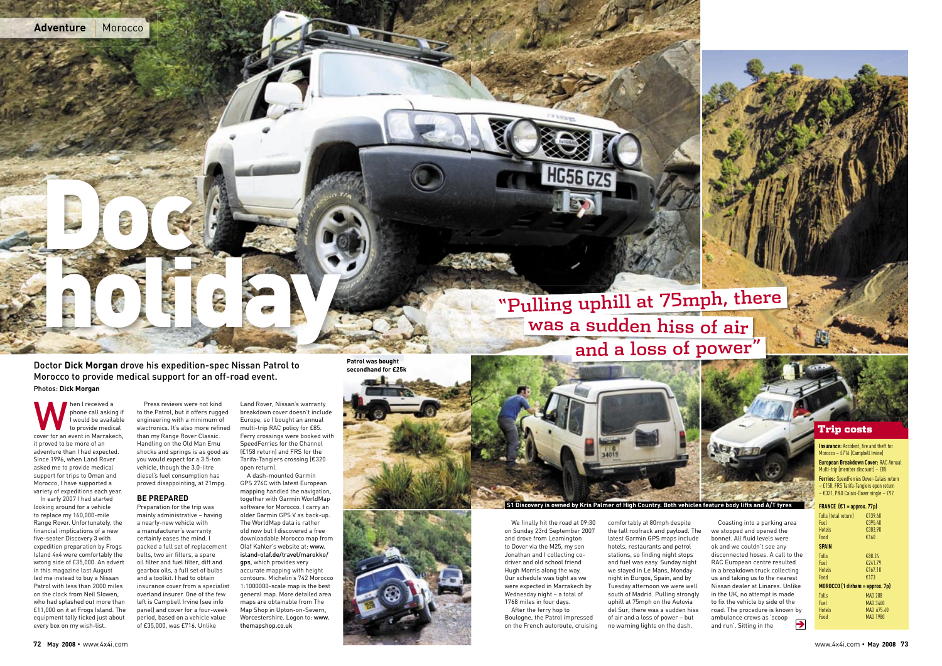Doctor **Dick Morgan** drove his expedition-spec Nissan Patrol to Morocco to provide medical support for an off-road event. Photos: **Dick Morgan**

Men I received a<br>
phone call asking if<br>
I would be available<br>
to provide medical<br>
cover for an event in Marrakech, phone call asking if .<br>I would be available to provide medical it proved to be more of an adventure than I had expected. Since 1996, when Land Rover asked me to provide medical support for trips to Oman and Morocco, I have supported a variety of expeditions each year.

In early 2007 I had started looking around for a vehicle to replace my 160,000-mile Range Rover. Unfortunately, the financial implications of a new five-seater Discovery 3 with expedition preparation by Frogs Island 4x4 were comfortably the wrong side of £35,000. An advert in this magazine last August led me instead to buy a Nissan Patrol with less than 2000 miles on the clock from Neil Slowen, who had splashed out more than £11,000 on it at Frogs Island. The equipment tally ticked just about every box on my wish-list.

Press reviews were not kind to the Patrol, but it offers rugged engineering with a minimum of electronics. It's also more refined than my Range Rover Classic. Handling on the Old Man Emu shocks and springs is as good as you would expect for a 3.5-ton vehicle, though the 3.0-litre diesel's fuel consumption has proved disappointing, at 21mpg.

# **BE PREPARED**

We finally hit the road at 09:30 on Sunday 23rd September 2007 and drove from Leamington to Dover via the M25, my son Jonathan and I collecting codriver and old school friend Hugh Morris along the way. Our schedule was tight as we were expected in Marrakech by Wednesday night – a total of 1768 miles in four days. After the ferry hop to

Preparation for the trip was mainly administrative – having a nearly-new vehicle with a manufacturer's warranty certainly eases the mind. I packed a full set of replacement belts, two air filters, a spare oil filter and fuel filter, diff and gearbox oils, a full set of bulbs and a toolkit. I had to obtain insurance cover from a specialist overland insurer. One of the few left is Campbell Irvine (see info panel) and cover for a four-week period, based on a vehicle value of £35,000, was £716. Unlike

Land Rover, Nissan's warranty breakdown cover doesn't include Europe, so I bought an annual multi-trip RAC policy for £85. Ferry crossings were booked with SpeedFerries for the Channel (£158 return) and FRS for the Tarifa-Tangiers crossing (€320 open return).

**Insurance:** Accident, fire and theft for Morocco – £716 (Campbell Irvine)

A dash-mounted Garmin GPS 276C with latest European mapping handled the navigation, together with Garmin WorldMap software for Morocco. I carry an older Garmin GPS V as back-up. The WorldMap data is rather old now but I discovered a free downloadable Morocco map from Olaf Kahler's website at: www. island-olaf.de/travel/marokko/ gps, which provides very accurate mapping with height contours. Michelin's 742 Morocco 1:1000000-scale map is the best general map. More detailed area maps are obtainable from The Map Shop in Upton-on-Severn, Worcestershire. Logon to: www. themapshop.co.uk



Boulogne, the Patrol impressed on the French autoroute, cruising comfortably at 80mph despite the tall roofrack and payload. The latest Garmin GPS maps include hotels, restaurants and petrol stations, so finding night stops and fuel was easy. Sunday night we stayed in Le Mans, Monday night in Burgos, Spain, and by Tuesday afternoon we were well south of Madrid. Pulling strongly uphill at 75mph on the Autovia del Sur, there was a sudden hiss of air and a loss of power – but no warning lights on the dash.



Coasting into a parking area we stopped and opened the bonnet. All fluid levels were ok and we couldn't see any disconnected hoses. A call to the RAC European centre resulted in a breakdown truck collecting us and taking us to the nearest Nissan dealer at Linares. Unlike in the UK, no attempt is made to fix the vehicle by side of the road. The procedure is known by ambulance crews as 'scoop and run'. Sitting in the È







**European Breakdown Cover:** RAC Annual Multi-trip (member discount) – £85

**Ferries:** SpeedFerries Dover-Calais return – £158, FRS Tarifa-Tangiers open return – €321, P&O Calais-Dover single – £92

### **FRANCE (€1 = approx. 77p)**

| Tolls (total return)              | €139.60         |
|-----------------------------------|-----------------|
| Fuel                              | €395.40         |
| Hotels                            | €303.90         |
| Food                              | €160            |
| <b>SPAIN</b>                      |                 |
| Tolls                             | €88.24          |
| Fuel                              | €241.79         |
| Hotels                            | €167.10         |
| Food                              | €173            |
| $MOROCCO$ (1 dirham = approx. 7p) |                 |
| Tolls                             | MAD 288         |
| Fuel                              | MAD 3460        |
| Hotels                            | MAD 675.40      |
| Food                              | <b>MAD 1980</b> |
|                                   |                 |



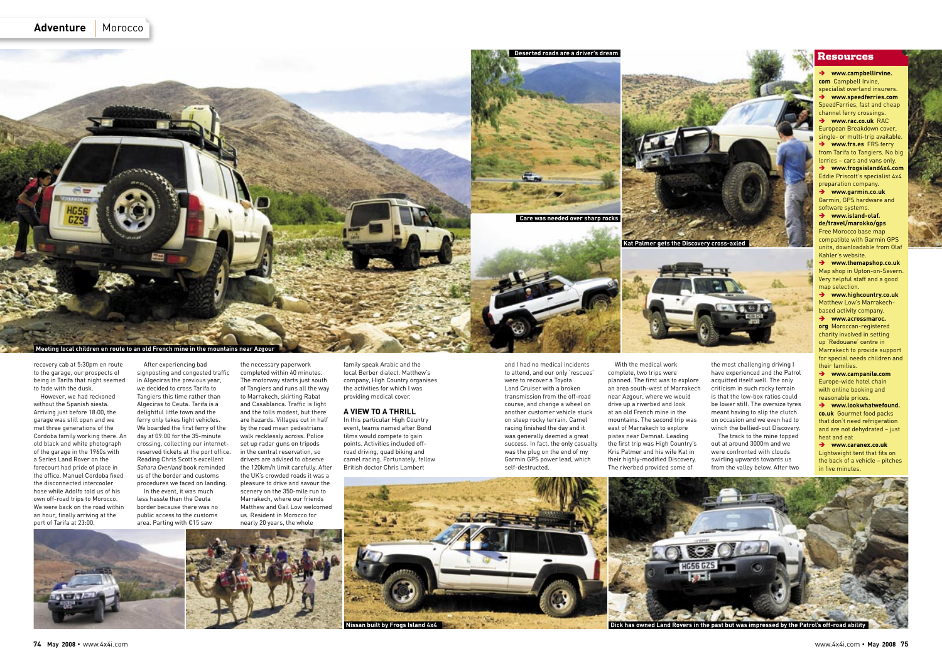the necessary paperwork completed within 40 minutes. The motorway starts just south of Tangiers and runs all the way to Marrakech, skirting Rabat and Casablanca. Traffic is light and the tolls modest, but there are hazards. Villages cut in half by the road mean pedestrians walk recklessly across. Police set up radar guns on tripods in the central reservation, so drivers are advised to observe the 120km/h limit carefully. After the UK's crowded roads it was a pleasure to drive and savour the scenery on the 350-mile run to Marrakech, where our friends Matthew and Gail Low welcomed us. Resident in Morocco for nearly 20 years, the whole

family speak Arabic and the local Berber dialect. Matthew's company, High Country organises the activities for which I was providing medical cover.

#### **A VIEW TO A THRILL**

In this particular High Country event, teams named after Bond films would compete to gain points. Activities included offroad driving, quad biking and camel racing. Fortunately, fellow British doctor Chris Lambert

The track to the mine topped out at around 3000m and we were confronted with clouds swirling upwards towards us from the valley below. After two

# **Resources**

and I had no medical incidents to attend, and our only 'rescues' were to recover a Toyota Land Cruiser with a broken transmission from the off-road course, and change a wheel on another customer vehicle stuck on steep rocky terrain. Camel racing finished the day and it was generally deemed a great success. In fact, the only casualty was the plug on the end of my Garmin GPS power lead, which self-destructed.

With the medical work complete, two trips were planned. The first was to explore an area south-west of Marrakech near Azgour, where we would drive up a riverbed and look at an old French mine in the mountains. The second trip was east of Marrakech to explore pistes near Demnat. Leading the first trip was High Country's Kris Palmer and his wife Kat in their highly-modified Discovery. The riverbed provided some of





the most challenging driving I have experienced and the Patrol acquitted itself well. The only criticism in such rocky terrain is that the low-box ratios could be lower still. The oversize tyres meant having to slip the clutch on occasion and we even had to winch the bellied-out Discovery.

 $→$  www.island-olaf. **de/travel/marokko/gps** Free Morocco base map compatible with Garmin GPS units, downloadable from Olaf Kahler's website.

Ë **www.highcountry.co.uk**  Matthew Low's Marrakechbased activity company.  $→$  www.acrossmaroc.





recovery cab at 5:30pm en route to the garage, our prospects of being in Tarifa that night seemed to fade with the dusk.

> $→$  www.lookwhatwefound. **co.uk** Gourmet food packs that don't need refrigeration and are not dehydrated – just heat and eat

**→ www.caranex.co.uk** Lightweight tent that fits on the back of a vehicle – pitches in five minutes.

However, we had reckoned without the Spanish siesta. Arriving just before 18:00, the garage was still open and we met three generations of the Cordoba family working there. An old black and white photograph of the garage in the 1960s with a Series Land Rover on the forecourt had pride of place in the office. Manuel Cordoba fixed the disconnected intercooler hose while Adolfo told us of his own off-road trips to Morocco. We were back on the road within an hour, finally arriving at the port of Tarifa at 23:00.

After experiencing bad signposting and congested traffic in Algeciras the previous year, we decided to cross Tarifa to Tangiers this time rather than Algeciras to Ceuta. Tarifa is a delightful little town and the ferry only takes light vehicles. We boarded the first ferry of the day at 09:00 for the 35-minute crossing, collecting our internetreserved tickets at the port office. Reading Chris Scott's excellent *Sahara Overland* book reminded us of the border and customs procedures we faced on landing. In the event, it was much

less hassle than the Ceuta border because there was no public access to the customs area. Parting with €15 saw





Ë **www.campbellirvine. com** Campbell Irvine, specialist overland insurers. Ë **www.speedferries.com** SpeedFerries, fast and cheap channel ferry crossings. Ë **www.rac.co.uk** RAC European Breakdown cover, single- or multi-trip available. Ë **www.frs.es** FRS ferry from Tarifa to Tangiers. No big lorries – cars and vans only. Ë **www.frogsisland4x4.com** Eddie Priscott's specialist 4x4 preparation company. Ë **www.garmin.co.uk**

Garmin, GPS hardware and software systems.

Ë **www.themapshop.co.uk** Map shop in Upton-on-Severn. Very helpful staff and a good map selection.

**org** Moroccan-registered charity involved in setting up 'Redouane' centre in Marrakech to provide support for special needs children and their families.

Ë **www.campanile.com** Europe-wide hotel chain with online booking and reasonable prices.